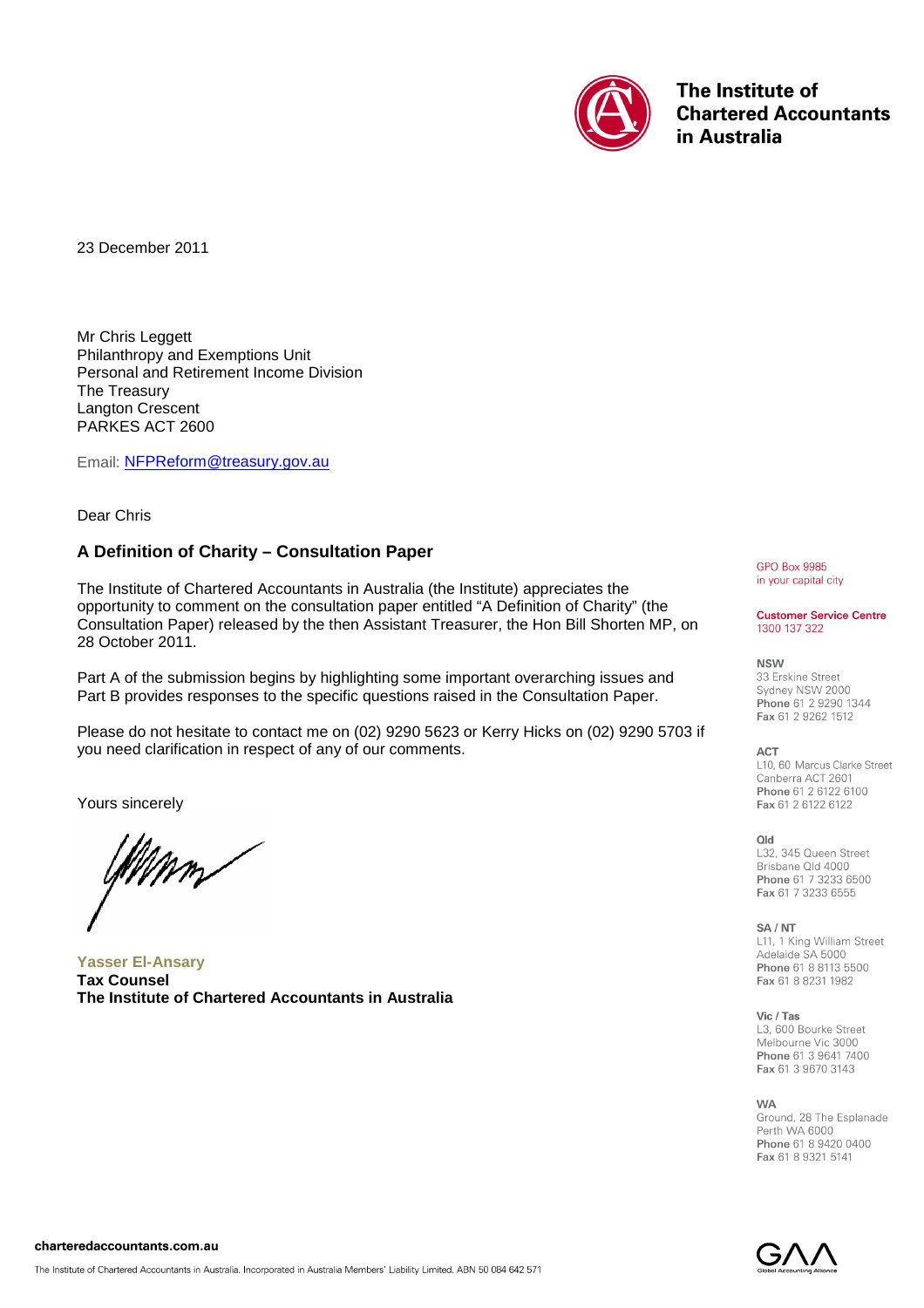

The Institute of **Chartered Accountants** in Australia

23 December 2011

Mr Chris Leggett Philanthropy and Exemptions Unit Personal and Retirement Income Division The Treasury Langton Crescent PARKES ACT 2600

Email: [NFPReform@treasury.gov.au](mailto:NFPReform@treasury.gov.au)

Dear Chris

# **A Definition of Charity – Consultation Paper**

The Institute of Chartered Accountants in Australia (the Institute) appreciates the opportunity to comment on the consultation paper entitled "A Definition of Charity" (the Consultation Paper) released by the then Assistant Treasurer, the Hon Bill Shorten MP, on 28 October 2011.

Part A of the submission begins by highlighting some important overarching issues and Part B provides responses to the specific questions raised in the Consultation Paper.

Please do not hesitate to contact me on (02) 9290 5623 or Kerry Hicks on (02) 9290 5703 if you need clarification in respect of any of our comments.

Yours sincerely

lfMmm

**Yasser El-Ansary Tax Counsel The Institute of Chartered Accountants in Australia**

**GPO Box 9985** in your capital city

#### **Customer Service Centre** 1300 137 322

**NSW** 

33 Erskine Street Sydney NSW 2000 Phone 61 2 9290 1344 Fax 61 2 9262 1512

#### **ACT**

L10, 60 Marcus Clarke Street Canberra ACT 2601 Phone 61 2 6122 6100 Fax 61 2 6122 6122

**blO** 

L32, 345 Queen Street Brisbane Old 4000 Phone 61 7 3233 6500 Fax 61 7 3233 6555

#### SA / NT

L11, 1 King William Street Adelaide SA 5000 Phone 61 8 8113 5500 Fax 61 8 8231 1982

Vic / Tas

L3, 600 Bourke Street Melbourne Vic 3000 Phone 61 3 9641 7400 Fax 61 3 9670 3143

**WA** Ground, 28 The Esplanade Perth WA 6000 Phone 61 8 9420 0400

Fax 61 8 9321 5141

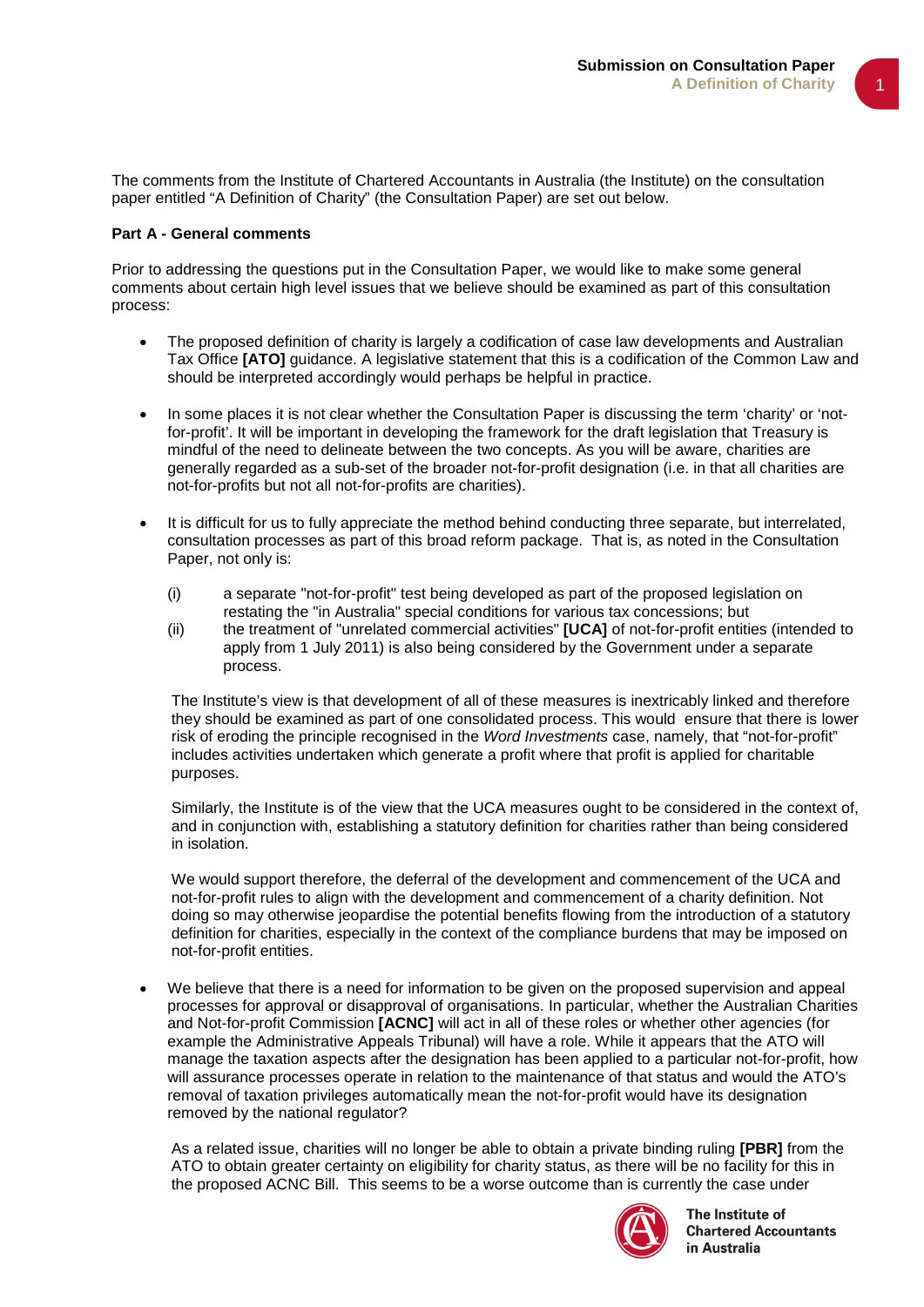The comments from the Institute of Chartered Accountants in Australia (the Institute) on the consultation paper entitled "A Definition of Charity" (the Consultation Paper) are set out below.

#### **Part A - General comments**

Prior to addressing the questions put in the Consultation Paper, we would like to make some general comments about certain high level issues that we believe should be examined as part of this consultation process:

- The proposed definition of charity is largely a codification of case law developments and Australian Tax Office **[ATO]** guidance. A legislative statement that this is a codification of the Common Law and should be interpreted accordingly would perhaps be helpful in practice.
- In some places it is not clear whether the Consultation Paper is discussing the term 'charity' or 'notfor-profit'. It will be important in developing the framework for the draft legislation that Treasury is mindful of the need to delineate between the two concepts. As you will be aware, charities are generally regarded as a sub-set of the broader not-for-profit designation (i.e. in that all charities are not-for-profits but not all not-for-profits are charities).
- It is difficult for us to fully appreciate the method behind conducting three separate, but interrelated, consultation processes as part of this broad reform package. That is, as noted in the Consultation Paper, not only is:
	- (i) a separate "not-for-profit" test being developed as part of the proposed legislation on restating the "in Australia" special conditions for various tax concessions; but
	- (ii) the treatment of "unrelated commercial activities" **[UCA]** of not-for-profit entities (intended to apply from 1 July 2011) is also being considered by the Government under a separate process.

The Institute's view is that development of all of these measures is inextricably linked and therefore they should be examined as part of one consolidated process. This would ensure that there is lower risk of eroding the principle recognised in the *Word Investments* case, namely, that "not-for-profit" includes activities undertaken which generate a profit where that profit is applied for charitable purposes.

Similarly, the Institute is of the view that the UCA measures ought to be considered in the context of, and in conjunction with, establishing a statutory definition for charities rather than being considered in isolation.

We would support therefore, the deferral of the development and commencement of the UCA and not-for-profit rules to align with the development and commencement of a charity definition. Not doing so may otherwise jeopardise the potential benefits flowing from the introduction of a statutory definition for charities, especially in the context of the compliance burdens that may be imposed on not-for-profit entities.

We believe that there is a need for information to be given on the proposed supervision and appeal processes for approval or disapproval of organisations. In particular, whether the Australian Charities and Not-for-profit Commission **[ACNC]** will act in all of these roles or whether other agencies (for example the Administrative Appeals Tribunal) will have a role. While it appears that the ATO will manage the taxation aspects after the designation has been applied to a particular not-for-profit, how will assurance processes operate in relation to the maintenance of that status and would the ATO's removal of taxation privileges automatically mean the not-for-profit would have its designation removed by the national regulator?

As a related issue, charities will no longer be able to obtain a private binding ruling **[PBR]** from the ATO to obtain greater certainty on eligibility for charity status, as there will be no facility for this in the proposed ACNC Bill. This seems to be a worse outcome than is currently the case under



The Institute of **Chartered Accountants** in Australia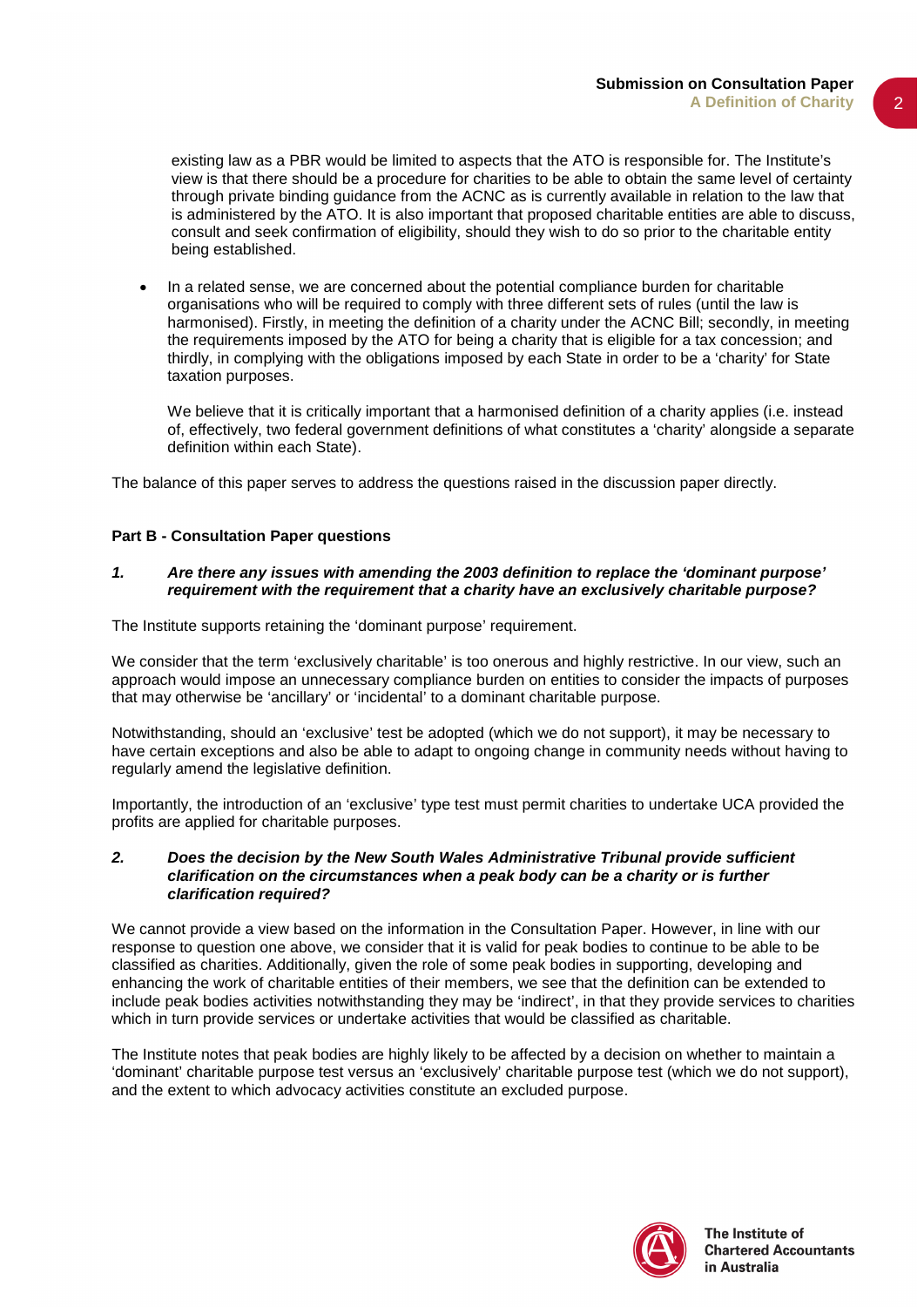existing law as a PBR would be limited to aspects that the ATO is responsible for. The Institute's view is that there should be a procedure for charities to be able to obtain the same level of certainty through private binding guidance from the ACNC as is currently available in relation to the law that is administered by the ATO. It is also important that proposed charitable entities are able to discuss, consult and seek confirmation of eligibility, should they wish to do so prior to the charitable entity being established.

• In a related sense, we are concerned about the potential compliance burden for charitable organisations who will be required to comply with three different sets of rules (until the law is harmonised). Firstly, in meeting the definition of a charity under the ACNC Bill; secondly, in meeting the requirements imposed by the ATO for being a charity that is eligible for a tax concession; and thirdly, in complying with the obligations imposed by each State in order to be a 'charity' for State taxation purposes.

We believe that it is critically important that a harmonised definition of a charity applies (i.e. instead of, effectively, two federal government definitions of what constitutes a 'charity' alongside a separate definition within each State).

The balance of this paper serves to address the questions raised in the discussion paper directly.

# **Part B - Consultation Paper questions**

## *1. Are there any issues with amending the 2003 definition to replace the 'dominant purpose' requirement with the requirement that a charity have an exclusively charitable purpose?*

The Institute supports retaining the 'dominant purpose' requirement.

We consider that the term 'exclusively charitable' is too onerous and highly restrictive. In our view, such an approach would impose an unnecessary compliance burden on entities to consider the impacts of purposes that may otherwise be 'ancillary' or 'incidental' to a dominant charitable purpose.

Notwithstanding, should an 'exclusive' test be adopted (which we do not support), it may be necessary to have certain exceptions and also be able to adapt to ongoing change in community needs without having to regularly amend the legislative definition.

Importantly, the introduction of an 'exclusive' type test must permit charities to undertake UCA provided the profits are applied for charitable purposes.

#### *2. Does the decision by the New South Wales Administrative Tribunal provide sufficient clarification on the circumstances when a peak body can be a charity or is further clarification required?*

We cannot provide a view based on the information in the Consultation Paper. However, in line with our response to question one above, we consider that it is valid for peak bodies to continue to be able to be classified as charities. Additionally, given the role of some peak bodies in supporting, developing and enhancing the work of charitable entities of their members, we see that the definition can be extended to include peak bodies activities notwithstanding they may be 'indirect', in that they provide services to charities which in turn provide services or undertake activities that would be classified as charitable.

The Institute notes that peak bodies are highly likely to be affected by a decision on whether to maintain a 'dominant' charitable purpose test versus an 'exclusively' charitable purpose test (which we do not support), and the extent to which advocacy activities constitute an excluded purpose.

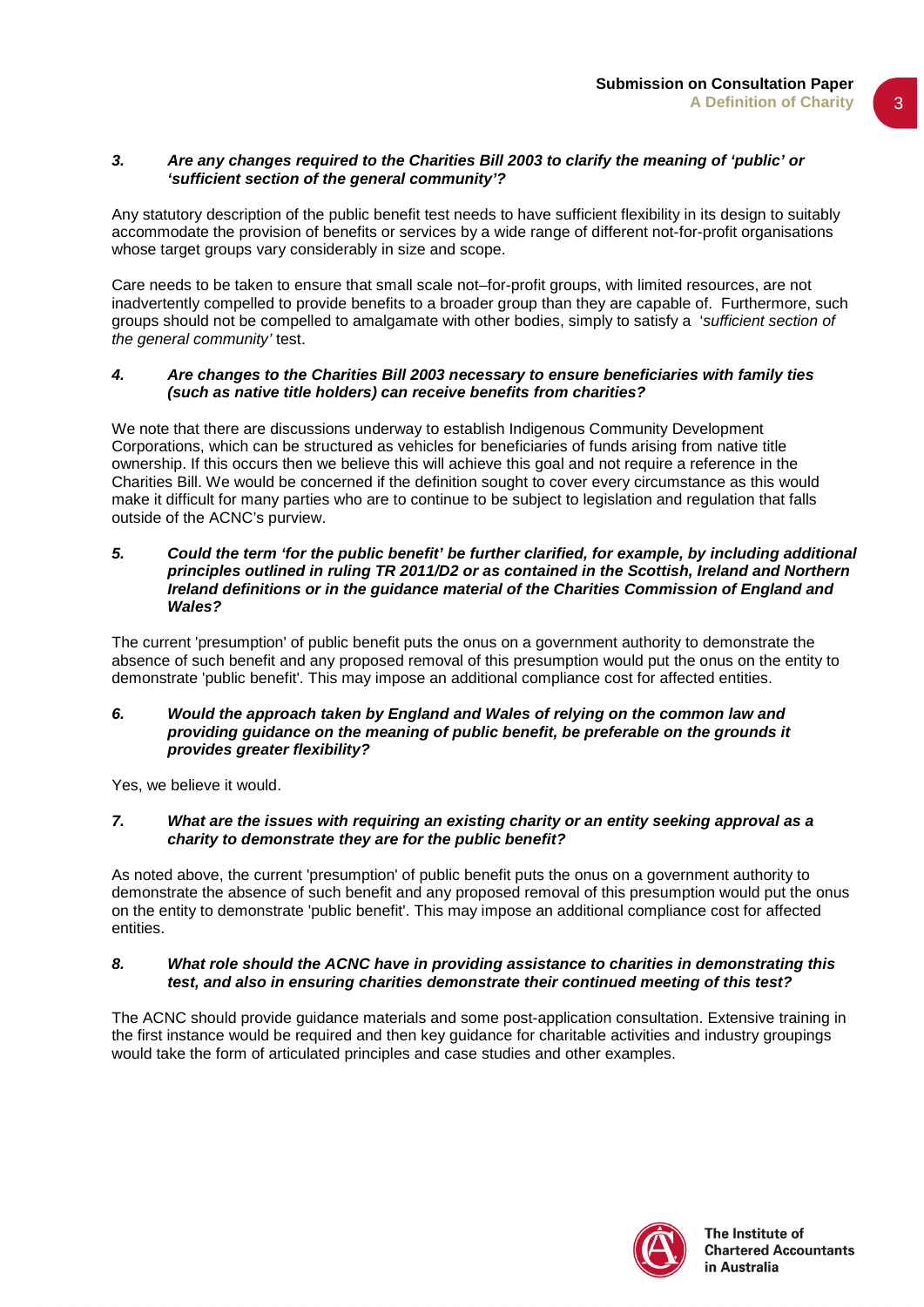3

## *3. Are any changes required to the Charities Bill 2003 to clarify the meaning of 'public' or 'sufficient section of the general community'?*

Any statutory description of the public benefit test needs to have sufficient flexibility in its design to suitably accommodate the provision of benefits or services by a wide range of different not-for-profit organisations whose target groups vary considerably in size and scope.

Care needs to be taken to ensure that small scale not–for-profit groups, with limited resources, are not inadvertently compelled to provide benefits to a broader group than they are capable of. Furthermore, such groups should not be compelled to amalgamate with other bodies, simply to satisfy a '*sufficient section of the general community'* test.

## *4. Are changes to the Charities Bill 2003 necessary to ensure beneficiaries with family ties (such as native title holders) can receive benefits from charities?*

We note that there are discussions underway to establish Indigenous Community Development Corporations, which can be structured as vehicles for beneficiaries of funds arising from native title ownership. If this occurs then we believe this will achieve this goal and not require a reference in the Charities Bill. We would be concerned if the definition sought to cover every circumstance as this would make it difficult for many parties who are to continue to be subject to legislation and regulation that falls outside of the ACNC's purview.

#### *5. Could the term 'for the public benefit' be further clarified, for example, by including additional principles outlined in ruling TR 2011/D2 or as contained in the Scottish, Ireland and Northern Ireland definitions or in the guidance material of the Charities Commission of England and Wales?*

The current 'presumption' of public benefit puts the onus on a government authority to demonstrate the absence of such benefit and any proposed removal of this presumption would put the onus on the entity to demonstrate 'public benefit'. This may impose an additional compliance cost for affected entities.

## *6. Would the approach taken by England and Wales of relying on the common law and providing guidance on the meaning of public benefit, be preferable on the grounds it provides greater flexibility?*

Yes, we believe it would.

## *7. What are the issues with requiring an existing charity or an entity seeking approval as a charity to demonstrate they are for the public benefit?*

As noted above, the current 'presumption' of public benefit puts the onus on a government authority to demonstrate the absence of such benefit and any proposed removal of this presumption would put the onus on the entity to demonstrate 'public benefit'. This may impose an additional compliance cost for affected entities.

## *8. What role should the ACNC have in providing assistance to charities in demonstrating this test, and also in ensuring charities demonstrate their continued meeting of this test?*

The ACNC should provide guidance materials and some post-application consultation. Extensive training in the first instance would be required and then key guidance for charitable activities and industry groupings would take the form of articulated principles and case studies and other examples.

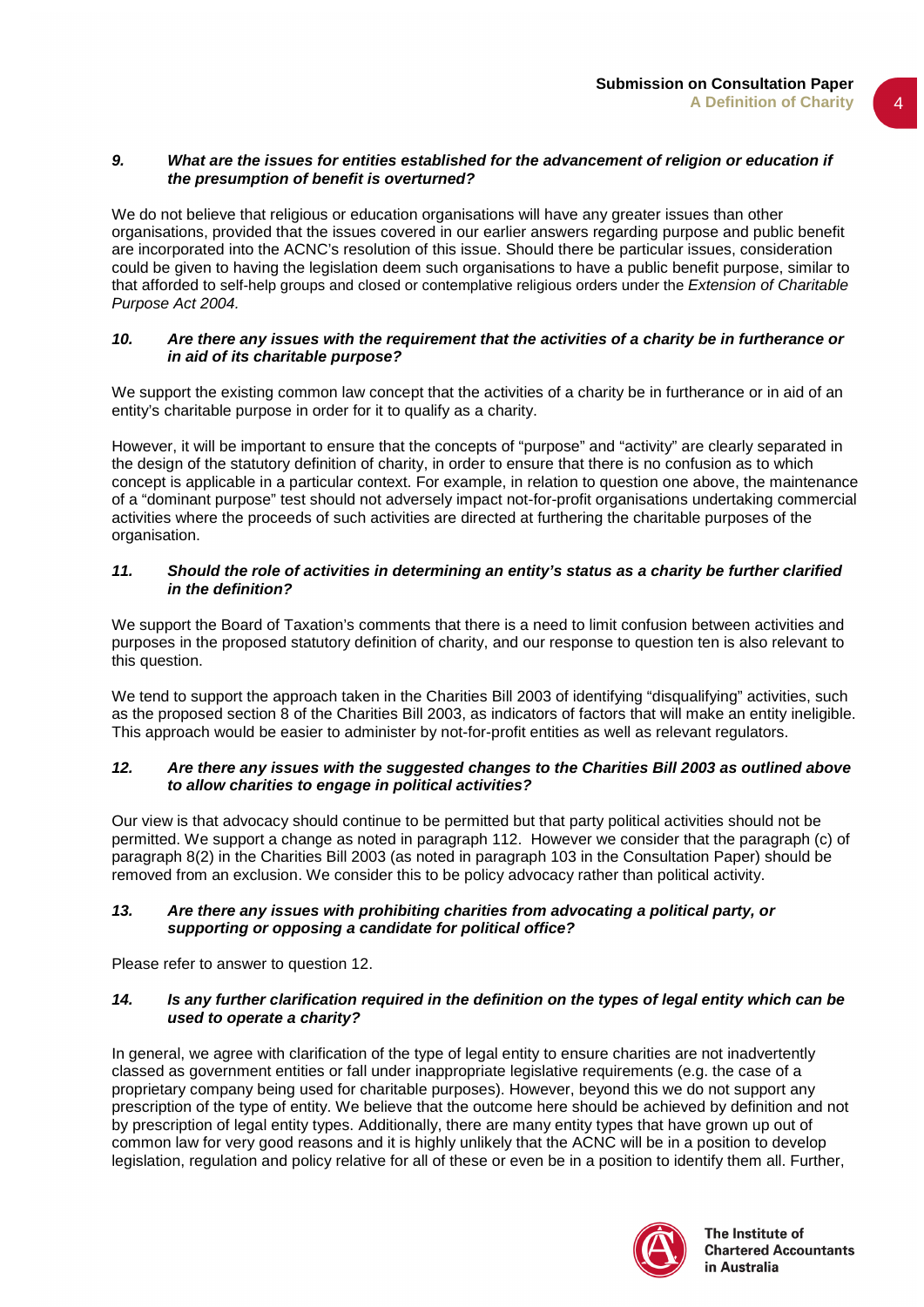## *9. What are the issues for entities established for the advancement of religion or education if the presumption of benefit is overturned?*

We do not believe that religious or education organisations will have any greater issues than other organisations, provided that the issues covered in our earlier answers regarding purpose and public benefit are incorporated into the ACNC's resolution of this issue. Should there be particular issues, consideration could be given to having the legislation deem such organisations to have a public benefit purpose, similar to that afforded to self-help groups and closed or contemplative religious orders under the *Extension of Charitable Purpose Act 2004.*

# *10. Are there any issues with the requirement that the activities of a charity be in furtherance or in aid of its charitable purpose?*

We support the existing common law concept that the activities of a charity be in furtherance or in aid of an entity's charitable purpose in order for it to qualify as a charity.

However, it will be important to ensure that the concepts of "purpose" and "activity" are clearly separated in the design of the statutory definition of charity, in order to ensure that there is no confusion as to which concept is applicable in a particular context. For example, in relation to question one above, the maintenance of a "dominant purpose" test should not adversely impact not-for-profit organisations undertaking commercial activities where the proceeds of such activities are directed at furthering the charitable purposes of the organisation.

# *11. Should the role of activities in determining an entity's status as a charity be further clarified in the definition?*

We support the Board of Taxation's comments that there is a need to limit confusion between activities and purposes in the proposed statutory definition of charity, and our response to question ten is also relevant to this question.

We tend to support the approach taken in the Charities Bill 2003 of identifying "disqualifying" activities, such as the proposed section 8 of the Charities Bill 2003, as indicators of factors that will make an entity ineligible. This approach would be easier to administer by not-for-profit entities as well as relevant regulators.

# *12. Are there any issues with the suggested changes to the Charities Bill 2003 as outlined above to allow charities to engage in political activities?*

Our view is that advocacy should continue to be permitted but that party political activities should not be permitted. We support a change as noted in paragraph 112. However we consider that the paragraph (c) of paragraph 8(2) in the Charities Bill 2003 (as noted in paragraph 103 in the Consultation Paper) should be removed from an exclusion. We consider this to be policy advocacy rather than political activity.

## *13. Are there any issues with prohibiting charities from advocating a political party, or supporting or opposing a candidate for political office?*

Please refer to answer to question 12.

## *14. Is any further clarification required in the definition on the types of legal entity which can be used to operate a charity?*

In general, we agree with clarification of the type of legal entity to ensure charities are not inadvertently classed as government entities or fall under inappropriate legislative requirements (e.g. the case of a proprietary company being used for charitable purposes). However, beyond this we do not support any prescription of the type of entity. We believe that the outcome here should be achieved by definition and not by prescription of legal entity types. Additionally, there are many entity types that have grown up out of common law for very good reasons and it is highly unlikely that the ACNC will be in a position to develop legislation, regulation and policy relative for all of these or even be in a position to identify them all. Further,